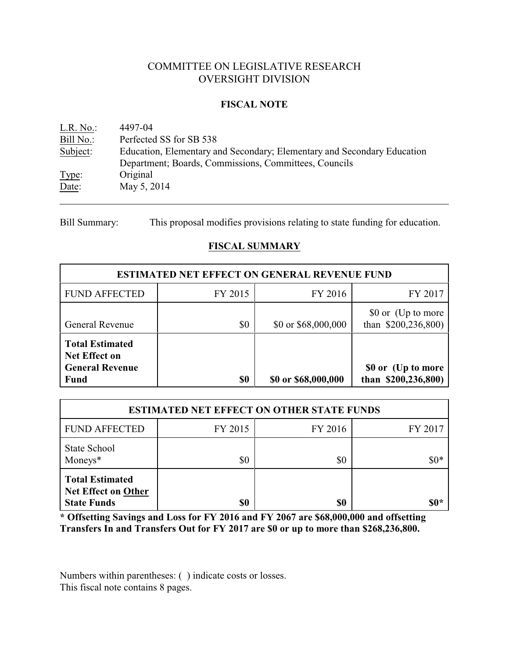# COMMITTEE ON LEGISLATIVE RESEARCH OVERSIGHT DIVISION

#### **FISCAL NOTE**

| L.R. No.  | 4497-04                                                                 |
|-----------|-------------------------------------------------------------------------|
| Bill No.: | Perfected SS for SB 538                                                 |
| Subject:  | Education, Elementary and Secondary; Elementary and Secondary Education |
|           | Department; Boards, Commissions, Committees, Councils                   |
| Type:     | Original                                                                |
| Date:     | May 5, 2014                                                             |

Bill Summary: This proposal modifies provisions relating to state funding for education.

# **FISCAL SUMMARY**

| <b>ESTIMATED NET EFFECT ON GENERAL REVENUE FUND</b>                                     |         |                     |                                           |  |  |
|-----------------------------------------------------------------------------------------|---------|---------------------|-------------------------------------------|--|--|
| <b>FUND AFFECTED</b>                                                                    | FY 2015 | FY 2016             | FY 2017                                   |  |  |
| <b>General Revenue</b>                                                                  | \$0     | \$0 or \$68,000,000 | \$0 or (Up to more<br>than $$200,236,800$ |  |  |
| <b>Total Estimated</b><br><b>Net Effect on</b><br><b>General Revenue</b><br><b>Fund</b> | \$0     | \$0 or \$68,000,000 | \$0 or (Up to more<br>than $$200,236,800$ |  |  |

| <b>ESTIMATED NET EFFECT ON OTHER STATE FUNDS</b>                           |         |         |         |  |  |
|----------------------------------------------------------------------------|---------|---------|---------|--|--|
| <b>FUND AFFECTED</b>                                                       | FY 2015 | FY 2016 | FY 2017 |  |  |
| State School<br>Moneys*                                                    | \$0     | \$0     | $$0*$   |  |  |
| <b>Total Estimated</b><br><b>Net Effect on Other</b><br><b>State Funds</b> | \$0     | \$0     | $\$0*$  |  |  |

**\* Offsetting Savings and Loss for FY 2016 and FY 2067 are \$68,000,000 and offsetting Transfers In and Transfers Out for FY 2017 are \$0 or up to more than \$268,236,800.**

Numbers within parentheses: ( ) indicate costs or losses. This fiscal note contains 8 pages.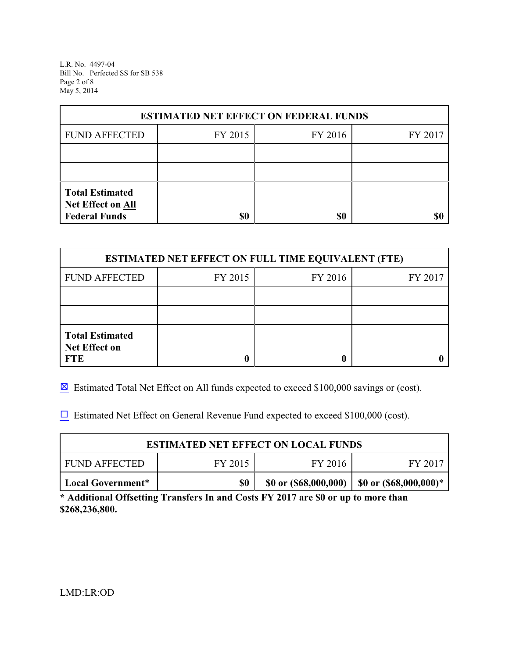L.R. No. 4497-04 Bill No. Perfected SS for SB 538 Page 2 of 8 May 5, 2014

| <b>ESTIMATED NET EFFECT ON FEDERAL FUNDS</b>                        |         |         |         |  |  |
|---------------------------------------------------------------------|---------|---------|---------|--|--|
| <b>FUND AFFECTED</b>                                                | FY 2015 | FY 2016 | FY 2017 |  |  |
|                                                                     |         |         |         |  |  |
|                                                                     |         |         |         |  |  |
| <b>Total Estimated</b><br>Net Effect on All<br><b>Federal Funds</b> | \$0     | \$0     |         |  |  |

| <b>ESTIMATED NET EFFECT ON FULL TIME EQUIVALENT (FTE)</b>    |         |         |         |  |  |
|--------------------------------------------------------------|---------|---------|---------|--|--|
| <b>FUND AFFECTED</b>                                         | FY 2015 | FY 2016 | FY 2017 |  |  |
|                                                              |         |         |         |  |  |
|                                                              |         |         |         |  |  |
| <b>Total Estimated</b><br><b>Net Effect on</b><br><b>FTE</b> |         |         |         |  |  |

 $\boxtimes$  Estimated Total Net Effect on All funds expected to exceed \$100,000 savings or (cost).

 $\Box$  Estimated Net Effect on General Revenue Fund expected to exceed \$100,000 (cost).

| <b>ESTIMATED NET EFFECT ON LOCAL FUNDS</b>                                                  |  |  |  |  |  |
|---------------------------------------------------------------------------------------------|--|--|--|--|--|
| FY 2015<br>FY 2016<br><b>FUND AFFECTED</b><br>FY 2017                                       |  |  |  |  |  |
| \$0<br>\$0 or $($ \$68,000,000)   \$0 or $($ \$68,000,000 $)$ *<br><b>Local Government*</b> |  |  |  |  |  |

**\* Additional Offsetting Transfers In and Costs FY 2017 are \$0 or up to more than \$268,236,800.**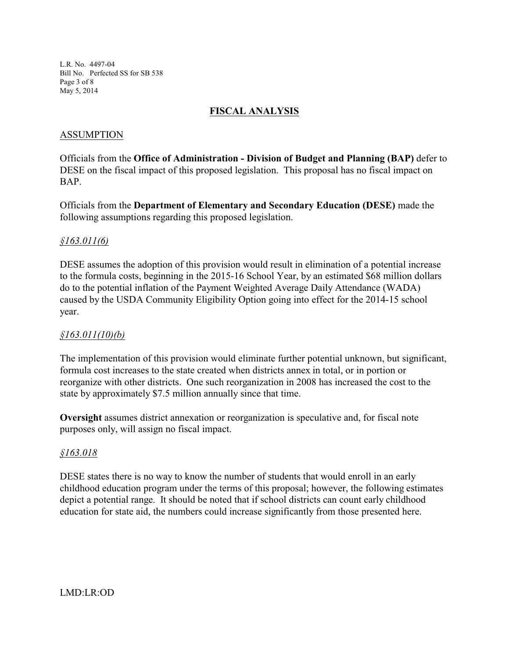L.R. No. 4497-04 Bill No. Perfected SS for SB 538 Page 3 of 8 May 5, 2014

## **FISCAL ANALYSIS**

### ASSUMPTION

Officials from the **Office of Administration - Division of Budget and Planning (BAP)** defer to DESE on the fiscal impact of this proposed legislation. This proposal has no fiscal impact on BAP.

Officials from the **Department of Elementary and Secondary Education (DESE)** made the following assumptions regarding this proposed legislation.

#### *§163.011(6)*

DESE assumes the adoption of this provision would result in elimination of a potential increase to the formula costs, beginning in the 2015-16 School Year, by an estimated \$68 million dollars do to the potential inflation of the Payment Weighted Average Daily Attendance (WADA) caused by the USDA Community Eligibility Option going into effect for the 2014-15 school year.

#### *§163.011(10)(b)*

The implementation of this provision would eliminate further potential unknown, but significant, formula cost increases to the state created when districts annex in total, or in portion or reorganize with other districts. One such reorganization in 2008 has increased the cost to the state by approximately \$7.5 million annually since that time.

**Oversight** assumes district annexation or reorganization is speculative and, for fiscal note purposes only, will assign no fiscal impact.

#### *§163.018*

DESE states there is no way to know the number of students that would enroll in an early childhood education program under the terms of this proposal; however, the following estimates depict a potential range. It should be noted that if school districts can count early childhood education for state aid, the numbers could increase significantly from those presented here.

LMD:LR:OD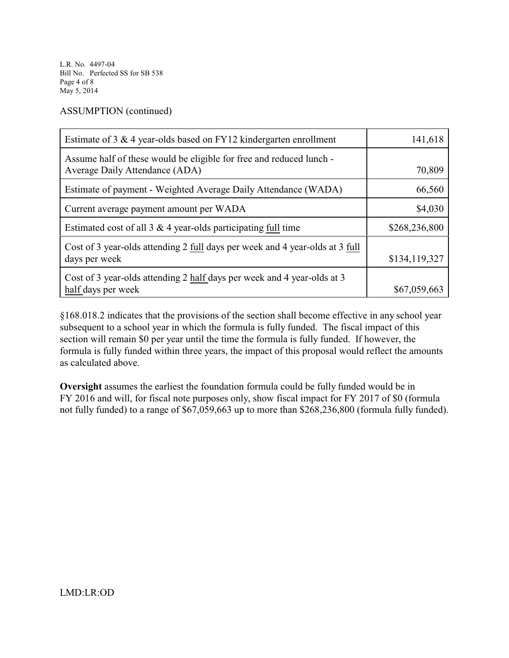L.R. No. 4497-04 Bill No. Perfected SS for SB 538 Page 4 of 8 May 5, 2014

ASSUMPTION (continued)

| Estimate of 3 $\&$ 4 year-olds based on FY12 kindergarten enrollment                                  | 141,618       |
|-------------------------------------------------------------------------------------------------------|---------------|
| Assume half of these would be eligible for free and reduced lunch -<br>Average Daily Attendance (ADA) | 70,809        |
| Estimate of payment - Weighted Average Daily Attendance (WADA)                                        | 66,560        |
| Current average payment amount per WADA                                                               | \$4,030       |
| Estimated cost of all $3 \& 4$ year-olds participating full time                                      | \$268,236,800 |
| Cost of 3 year-olds attending 2 full days per week and 4 year-olds at 3 full<br>days per week         | \$134,119,327 |
| Cost of 3 year-olds attending 2 half days per week and 4 year-olds at 3<br>half days per week         | \$67,059,663  |

§168.018.2 indicates that the provisions of the section shall become effective in any school year subsequent to a school year in which the formula is fully funded. The fiscal impact of this section will remain \$0 per year until the time the formula is fully funded. If however, the formula is fully funded within three years, the impact of this proposal would reflect the amounts as calculated above.

**Oversight** assumes the earliest the foundation formula could be fully funded would be in FY 2016 and will, for fiscal note purposes only, show fiscal impact for FY 2017 of \$0 (formula not fully funded) to a range of \$67,059,663 up to more than \$268,236,800 (formula fully funded).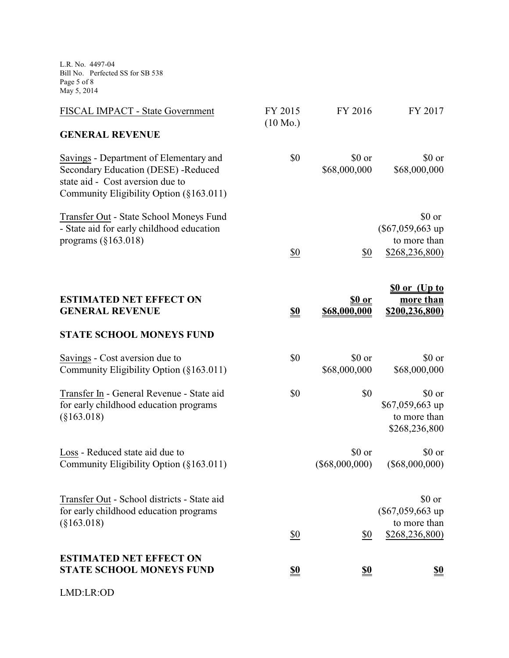L.R. No. 4497-04 Bill No. Perfected SS for SB 538 Page 5 of 8 May 5, 2014

| FISCAL IMPACT - State Government                                                                                                                             | FY 2015<br>$(10 \text{ Mo.})$ | FY 2016                        | FY 2017                                                        |
|--------------------------------------------------------------------------------------------------------------------------------------------------------------|-------------------------------|--------------------------------|----------------------------------------------------------------|
| <b>GENERAL REVENUE</b>                                                                                                                                       |                               |                                |                                                                |
| Savings - Department of Elementary and<br>Secondary Education (DESE) -Reduced<br>state aid - Cost aversion due to<br>Community Eligibility Option (§163.011) | \$0                           | \$0 or<br>\$68,000,000         | \$0 or<br>\$68,000,000                                         |
| Transfer Out - State School Moneys Fund<br>- State aid for early childhood education<br>programs $(\S163.018)$                                               | \$0                           | \$0                            | \$0 or<br>$(\$67,059,663$ up<br>to more than<br>\$268,236,800) |
| <b>ESTIMATED NET EFFECT ON</b><br><b>GENERAL REVENUE</b>                                                                                                     | $\underline{\underline{\$0}}$ | \$ <u>0 or</u><br>\$68,000,000 | <u>So or (Up to</u><br>more than<br>\$200,236,800)             |
| <b>STATE SCHOOL MONEYS FUND</b>                                                                                                                              |                               |                                |                                                                |
| Savings - Cost aversion due to<br>Community Eligibility Option (§163.011)                                                                                    | \$0                           | \$0 or<br>\$68,000,000         | \$0 or<br>\$68,000,000                                         |
| Transfer In - General Revenue - State aid<br>for early childhood education programs<br>$(\$163.018)$                                                         | \$0                           | \$0                            | \$0 or<br>\$67,059,663 up<br>to more than<br>\$268,236,800     |
| Loss - Reduced state aid due to<br>Community Eligibility Option (§163.011)                                                                                   |                               | \$0 or<br>$(\$68,000,000)$     | \$0 or<br>$(\$68,000,000)$                                     |
| Transfer Out - School districts - State aid<br>for early childhood education programs<br>$(\$163.018)$                                                       |                               |                                | \$0 or<br>$(\$67,059,663$ up<br>to more than                   |
|                                                                                                                                                              | \$0                           | \$0                            | \$268,236,800)                                                 |
| <b>ESTIMATED NET EFFECT ON</b><br><b>STATE SCHOOL MONEYS FUND</b>                                                                                            | <u>\$0</u>                    | <u>\$0</u>                     | <u>\$0</u>                                                     |
| LMD:LR:OD                                                                                                                                                    |                               |                                |                                                                |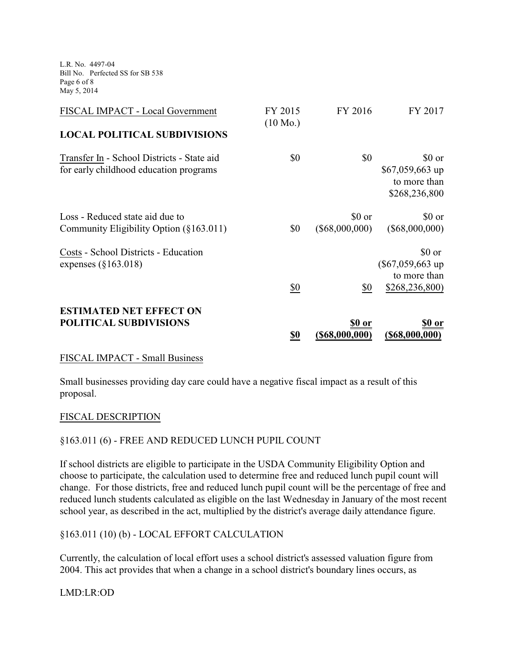L.R. No. 4497-04 Bill No. Perfected SS for SB 538 Page 6 of 8 May 5, 2014

| FISCAL IMPACT - Local Government                                                     | FY 2015<br>$(10 \text{ Mo.})$ | FY 2016                            | FY 2017                                                     |
|--------------------------------------------------------------------------------------|-------------------------------|------------------------------------|-------------------------------------------------------------|
| <b>LOCAL POLITICAL SUBDIVISIONS</b>                                                  |                               |                                    |                                                             |
| Transfer In - School Districts - State aid<br>for early childhood education programs | \$0                           | \$0                                | \$0 or<br>$$67,059,663$ up<br>to more than<br>\$268,236,800 |
| Loss - Reduced state aid due to<br>Community Eligibility Option (§163.011)           | \$0                           | \$0 or<br>$(\$68,000,000)$         | \$0 or<br>$(\$68,000,000)$                                  |
| Costs - School Districts - Education<br>expenses $(\S163.018)$                       |                               |                                    | \$0 or<br>$(\$67,059,663$ up<br>to more than                |
| <b>ESTIMATED NET EFFECT ON</b><br>POLITICAL SUBDIVISIONS                             | \$0<br><u>\$0</u>             | \$0<br>\$0 or<br>$($ \$68,000,000) | \$268,236,800<br><u>\$0 or</u><br>$($ \$68,000,000)         |

#### FISCAL IMPACT - Small Business

Small businesses providing day care could have a negative fiscal impact as a result of this proposal.

#### FISCAL DESCRIPTION

#### §163.011 (6) - FREE AND REDUCED LUNCH PUPIL COUNT

If school districts are eligible to participate in the USDA Community Eligibility Option and choose to participate, the calculation used to determine free and reduced lunch pupil count will change. For those districts, free and reduced lunch pupil count will be the percentage of free and reduced lunch students calculated as eligible on the last Wednesday in January of the most recent school year, as described in the act, multiplied by the district's average daily attendance figure.

#### §163.011 (10) (b) - LOCAL EFFORT CALCULATION

Currently, the calculation of local effort uses a school district's assessed valuation figure from 2004. This act provides that when a change in a school district's boundary lines occurs, as

LMD:LR:OD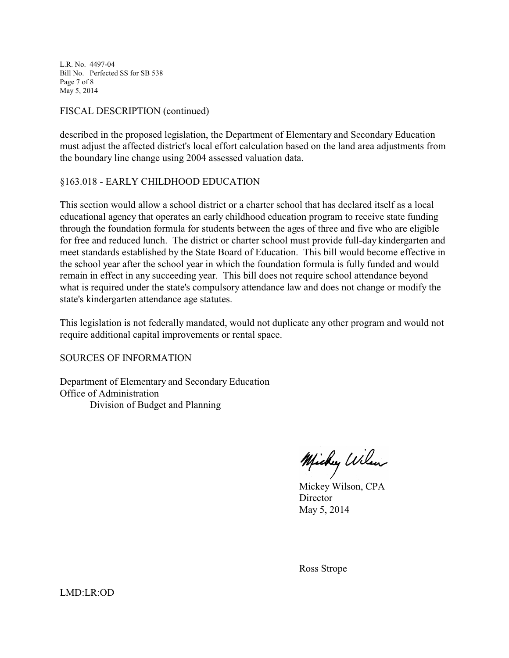L.R. No. 4497-04 Bill No. Perfected SS for SB 538 Page 7 of 8 May 5, 2014

### FISCAL DESCRIPTION (continued)

described in the proposed legislation, the Department of Elementary and Secondary Education must adjust the affected district's local effort calculation based on the land area adjustments from the boundary line change using 2004 assessed valuation data.

#### §163.018 - EARLY CHILDHOOD EDUCATION

This section would allow a school district or a charter school that has declared itself as a local educational agency that operates an early childhood education program to receive state funding through the foundation formula for students between the ages of three and five who are eligible for free and reduced lunch. The district or charter school must provide full-day kindergarten and meet standards established by the State Board of Education. This bill would become effective in the school year after the school year in which the foundation formula is fully funded and would remain in effect in any succeeding year. This bill does not require school attendance beyond what is required under the state's compulsory attendance law and does not change or modify the state's kindergarten attendance age statutes.

This legislation is not federally mandated, would not duplicate any other program and would not require additional capital improvements or rental space.

#### SOURCES OF INFORMATION

Department of Elementary and Secondary Education Office of Administration Division of Budget and Planning

Michy Wilson

Mickey Wilson, CPA **Director** May 5, 2014

Ross Strope